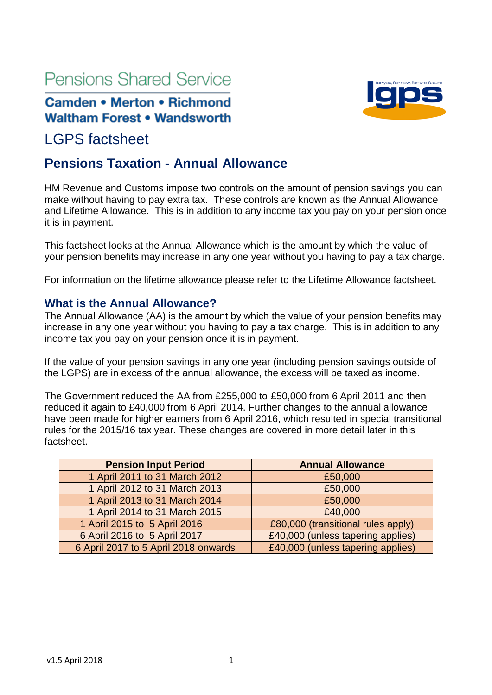# **Pensions Shared Service**

# **Camden • Merton • Richmond Waltham Forest • Wandsworth**

# LGPS factsheet

# **Pensions Taxation - Annual Allowance**

HM Revenue and Customs impose two controls on the amount of pension savings you can make without having to pay extra tax. These controls are known as the Annual Allowance and Lifetime Allowance. This is in addition to any income tax you pay on your pension once it is in payment.

This factsheet looks at the Annual Allowance which is the amount by which the value of your pension benefits may increase in any one year without you having to pay a tax charge.

For information on the lifetime allowance please refer to the Lifetime Allowance factsheet.

#### **What is the Annual Allowance?**

The Annual Allowance (AA) is the amount by which the value of your pension benefits may increase in any one year without you having to pay a tax charge. This is in addition to any income tax you pay on your pension once it is in payment.

If the value of your pension savings in any one year (including pension savings outside of the LGPS) are in excess of the annual allowance, the excess will be taxed as income.

The Government reduced the AA from £255,000 to £50,000 from 6 April 2011 and then reduced it again to £40,000 from 6 April 2014. Further changes to the annual allowance have been made for higher earners from 6 April 2016, which resulted in special transitional rules for the 2015/16 tax year. These changes are covered in more detail later in this factsheet.

| <b>Pension Input Period</b>          | <b>Annual Allowance</b>            |
|--------------------------------------|------------------------------------|
| 1 April 2011 to 31 March 2012        | £50,000                            |
| 1 April 2012 to 31 March 2013        | £50,000                            |
| 1 April 2013 to 31 March 2014        | £50,000                            |
| 1 April 2014 to 31 March 2015        | £40,000                            |
| 1 April 2015 to 5 April 2016         | £80,000 (transitional rules apply) |
| 6 April 2016 to 5 April 2017         | £40,000 (unless tapering applies)  |
| 6 April 2017 to 5 April 2018 onwards | £40,000 (unless tapering applies)  |

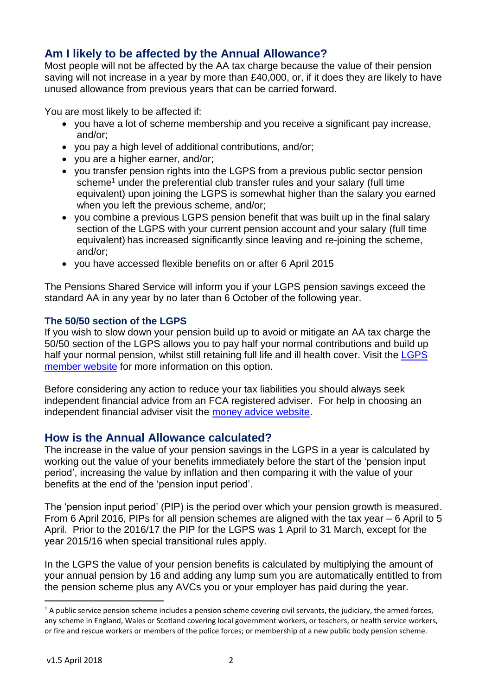## **Am I likely to be affected by the Annual Allowance?**

Most people will not be affected by the AA tax charge because the value of their pension saving will not increase in a year by more than £40,000, or, if it does they are likely to have unused allowance from previous years that can be carried forward.

You are most likely to be affected if:

- you have a lot of scheme membership and you receive a significant pay increase, and/or;
- you pay a high level of additional contributions, and/or;
- you are a higher earner, and/or;
- you transfer pension rights into the LGPS from a previous public sector pension scheme<sup>1</sup> under the preferential club transfer rules and your salary (full time equivalent) upon joining the LGPS is somewhat higher than the salary you earned when you left the previous scheme, and/or;
- you combine a previous LGPS pension benefit that was built up in the final salary section of the LGPS with your current pension account and your salary (full time equivalent) has increased significantly since leaving and re-joining the scheme, and/or;
- you have accessed flexible benefits on or after 6 April 2015

The Pensions Shared Service will inform you if your LGPS pension savings exceed the standard AA in any year by no later than 6 October of the following year.

#### **The 50/50 section of the LGPS**

If you wish to slow down your pension build up to avoid or mitigate an AA tax charge the 50/50 section of the LGPS allows you to pay half your normal contributions and build up half your normal pension, whilst still retaining full life and ill health cover. Visit the [LGPS](https://www.lgpsmember.org/arm/already-member-contsf.php)  [member website](https://www.lgpsmember.org/arm/already-member-contsf.php) for more information on this option.

Before considering any action to reduce your tax liabilities you should always seek independent financial advice from an FCA registered adviser. For help in choosing an independent financial adviser visit the [money advice website.](https://www.moneyadviceservice.org.uk/en/articles/choosing-a-financial-adviser)

#### **How is the Annual Allowance calculated?**

The increase in the value of your pension savings in the LGPS in a year is calculated by working out the value of your benefits immediately before the start of the 'pension input period', increasing the value by inflation and then comparing it with the value of your benefits at the end of the 'pension input period'.

The 'pension input period' (PIP) is the period over which your pension growth is measured. From 6 April 2016, PIPs for all pension schemes are aligned with the tax year – 6 April to 5 April. Prior to the 2016/17 the PIP for the LGPS was 1 April to 31 March, except for the year 2015/16 when special transitional rules apply.

In the LGPS the value of your pension benefits is calculated by multiplying the amount of your annual pension by 16 and adding any lump sum you are automatically entitled to from the pension scheme plus any AVCs you or your employer has paid during the year.

**.** 

 $1$  A public service pension scheme includes a pension scheme covering civil servants, the judiciary, the armed forces, any scheme in England, Wales or Scotland covering local government workers, or teachers, or health service workers, or fire and rescue workers or members of the police forces; or membership of a new public body pension scheme.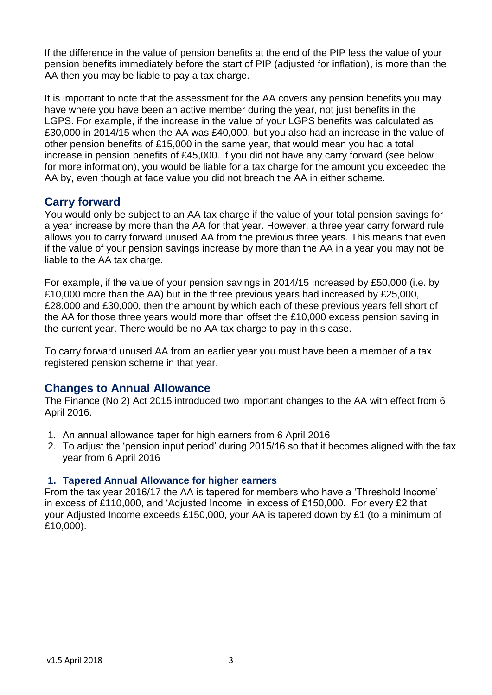If the difference in the value of pension benefits at the end of the PIP less the value of your pension benefits immediately before the start of PIP (adjusted for inflation), is more than the AA then you may be liable to pay a tax charge.

It is important to note that the assessment for the AA covers any pension benefits you may have where you have been an active member during the year, not just benefits in the LGPS. For example, if the increase in the value of your LGPS benefits was calculated as £30,000 in 2014/15 when the AA was £40,000, but you also had an increase in the value of other pension benefits of £15,000 in the same year, that would mean you had a total increase in pension benefits of £45,000. If you did not have any carry forward (see below for more information), you would be liable for a tax charge for the amount you exceeded the AA by, even though at face value you did not breach the AA in either scheme.

## **Carry forward**

You would only be subject to an AA tax charge if the value of your total pension savings for a year increase by more than the AA for that year. However, a three year carry forward rule allows you to carry forward unused AA from the previous three years. This means that even if the value of your pension savings increase by more than the AA in a year you may not be liable to the AA tax charge.

For example, if the value of your pension savings in 2014/15 increased by £50,000 (i.e. by £10,000 more than the AA) but in the three previous years had increased by £25,000, £28,000 and £30,000, then the amount by which each of these previous years fell short of the AA for those three years would more than offset the £10,000 excess pension saving in the current year. There would be no AA tax charge to pay in this case.

To carry forward unused AA from an earlier year you must have been a member of a tax registered pension scheme in that year.

#### **Changes to Annual Allowance**

The Finance (No 2) Act 2015 introduced two important changes to the AA with effect from 6 April 2016.

- 1. An annual allowance taper for high earners from 6 April 2016
- 2. To adjust the 'pension input period' during 2015/16 so that it becomes aligned with the tax year from 6 April 2016

#### **1. Tapered Annual Allowance for higher earners**

From the tax year 2016/17 the AA is tapered for members who have a 'Threshold Income' in excess of £110,000, and 'Adjusted Income' in excess of £150,000. For every £2 that your Adjusted Income exceeds £150,000, your AA is tapered down by £1 (to a minimum of £10,000).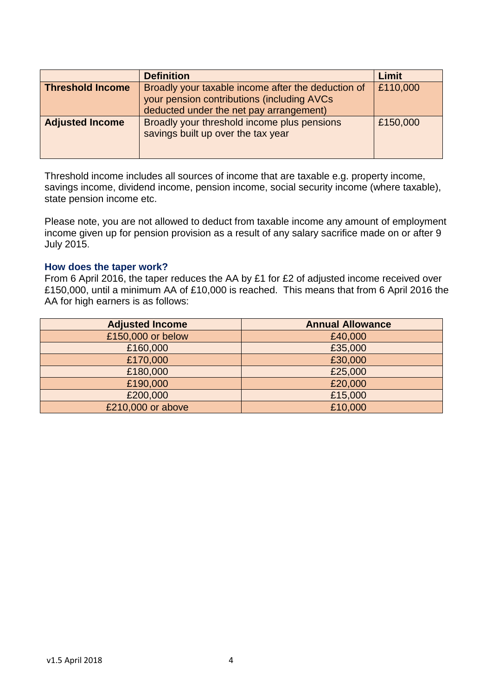|                         | <b>Definition</b>                                                                                                                            | Limit    |
|-------------------------|----------------------------------------------------------------------------------------------------------------------------------------------|----------|
| <b>Threshold Income</b> | Broadly your taxable income after the deduction of<br>your pension contributions (including AVCs)<br>deducted under the net pay arrangement) | £110,000 |
| <b>Adjusted Income</b>  | Broadly your threshold income plus pensions<br>savings built up over the tax year                                                            | £150,000 |

Threshold income includes all sources of income that are taxable e.g. property income, savings income, dividend income, pension income, social security income (where taxable), state pension income etc.

Please note, you are not allowed to deduct from taxable income any amount of employment income given up for pension provision as a result of any salary sacrifice made on or after 9 July 2015.

#### **How does the taper work?**

From 6 April 2016, the taper reduces the AA by £1 for £2 of adjusted income received over £150,000, until a minimum AA of £10,000 is reached. This means that from 6 April 2016 the AA for high earners is as follows:

| <b>Adjusted Income</b> | <b>Annual Allowance</b> |
|------------------------|-------------------------|
| £150,000 or below      | £40,000                 |
| £160,000               | £35,000                 |
| £170,000               | £30,000                 |
| £180,000               | £25,000                 |
| £190,000               | £20,000                 |
| £200,000               | £15,000                 |
| £210,000 or above      | £10,000                 |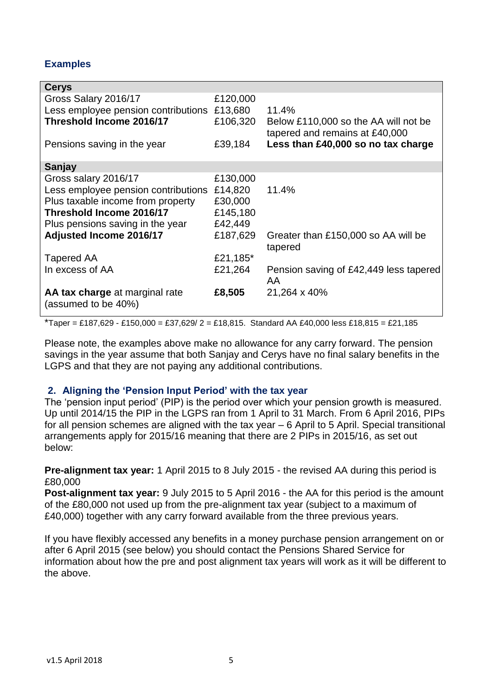#### **Examples**

| £120,000 |                                                                        |
|----------|------------------------------------------------------------------------|
| £13,680  | 11.4%                                                                  |
| £106,320 | Below £110,000 so the AA will not be<br>tapered and remains at £40,000 |
| £39,184  | Less than £40,000 so no tax charge                                     |
|          |                                                                        |
| £130,000 |                                                                        |
| £14,820  | 11.4%                                                                  |
| £30,000  |                                                                        |
| £145,180 |                                                                        |
| £42,449  |                                                                        |
| £187,629 | Greater than £150,000 so AA will be<br>tapered                         |
| £21,185* |                                                                        |
| £21,264  | Pension saving of £42,449 less tapered<br>AA.                          |
| £8,505   | 21,264 x 40%                                                           |
|          |                                                                        |

\*Taper = £187,629 - £150,000 = £37,629/ 2 = £18,815. Standard AA £40,000 less £18,815 = £21,185

Please note, the examples above make no allowance for any carry forward. The pension savings in the year assume that both Sanjay and Cerys have no final salary benefits in the LGPS and that they are not paying any additional contributions.

#### **2. Aligning the 'Pension Input Period' with the tax year**

The 'pension input period' (PIP) is the period over which your pension growth is measured. Up until 2014/15 the PIP in the LGPS ran from 1 April to 31 March. From 6 April 2016, PIPs for all pension schemes are aligned with the tax year – 6 April to 5 April. Special transitional arrangements apply for 2015/16 meaning that there are 2 PIPs in 2015/16, as set out below:

**Pre-alignment tax year:** 1 April 2015 to 8 July 2015 - the revised AA during this period is £80,000

**Post-alignment tax year:** 9 July 2015 to 5 April 2016 - the AA for this period is the amount of the £80,000 not used up from the pre-alignment tax year (subject to a maximum of £40,000) together with any carry forward available from the three previous years.

If you have flexibly accessed any benefits in a money purchase pension arrangement on or after 6 April 2015 (see below) you should contact the Pensions Shared Service for information about how the pre and post alignment tax years will work as it will be different to the above.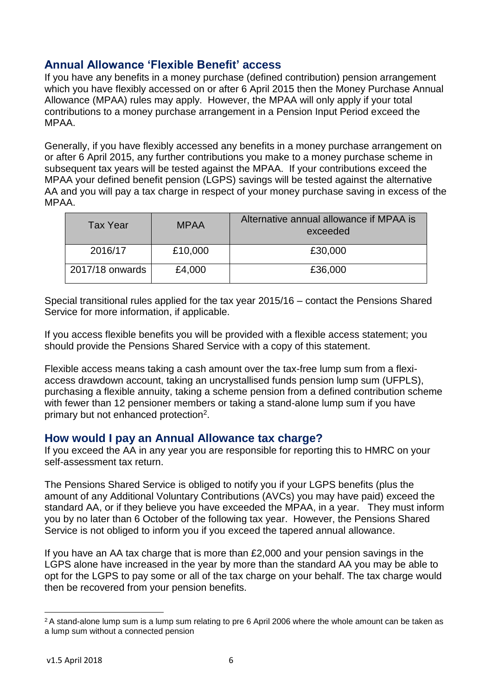## **Annual Allowance 'Flexible Benefit' access**

If you have any benefits in a money purchase (defined contribution) pension arrangement which you have flexibly accessed on or after 6 April 2015 then the Money Purchase Annual Allowance (MPAA) rules may apply. However, the MPAA will only apply if your total contributions to a money purchase arrangement in a Pension Input Period exceed the MPAA.

Generally, if you have flexibly accessed any benefits in a money purchase arrangement on or after 6 April 2015, any further contributions you make to a money purchase scheme in subsequent tax years will be tested against the MPAA. If your contributions exceed the MPAA your defined benefit pension (LGPS) savings will be tested against the alternative AA and you will pay a tax charge in respect of your money purchase saving in excess of the MPAA.

| <b>Tax Year</b> | <b>MPAA</b> | Alternative annual allowance if MPAA is<br>exceeded |
|-----------------|-------------|-----------------------------------------------------|
| 2016/17         | £10,000     | £30,000                                             |
| 2017/18 onwards | £4,000      | £36,000                                             |

Special transitional rules applied for the tax year 2015/16 – contact the Pensions Shared Service for more information, if applicable.

If you access flexible benefits you will be provided with a flexible access statement; you should provide the Pensions Shared Service with a copy of this statement.

Flexible access means taking a cash amount over the tax-free lump sum from a flexiaccess drawdown account, taking an uncrystallised funds pension lump sum (UFPLS), purchasing a flexible annuity, taking a scheme pension from a defined contribution scheme with fewer than 12 pensioner members or taking a stand-alone lump sum if you have primary but not enhanced protection<sup>2</sup>.

#### **How would I pay an Annual Allowance tax charge?**

If you exceed the AA in any year you are responsible for reporting this to HMRC on your self-assessment tax return.

The Pensions Shared Service is obliged to notify you if your LGPS benefits (plus the amount of any Additional Voluntary Contributions (AVCs) you may have paid) exceed the standard AA, or if they believe you have exceeded the MPAA, in a year. They must inform you by no later than 6 October of the following tax year. However, the Pensions Shared Service is not obliged to inform you if you exceed the tapered annual allowance.

If you have an AA tax charge that is more than £2,000 and your pension savings in the LGPS alone have increased in the year by more than the standard AA you may be able to opt for the LGPS to pay some or all of the tax charge on your behalf. The tax charge would then be recovered from your pension benefits.

<sup>1</sup>  $2A$  stand-alone lump sum is a lump sum relating to pre 6 April 2006 where the whole amount can be taken as a lump sum without a connected pension